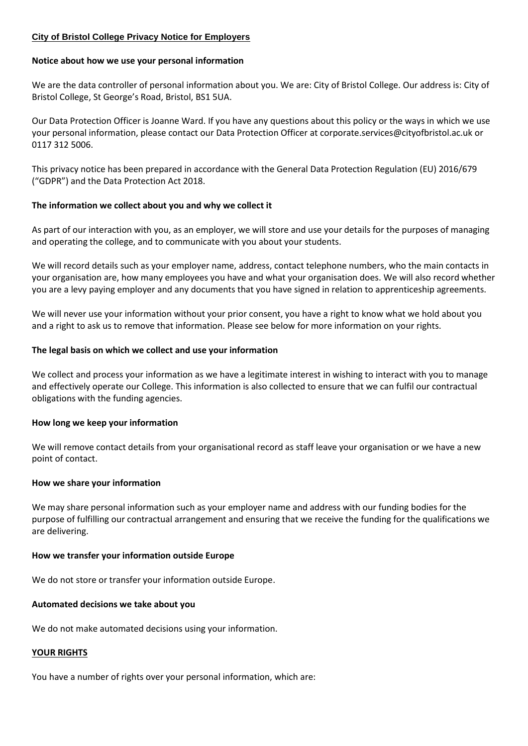#### **City of Bristol College Privacy Notice for Employers**

#### **Notice about how we use your personal information**

We are the data controller of personal information about you. We are: City of Bristol College. Our address is: City of Bristol College, St George's Road, Bristol, BS1 5UA.

Our Data Protection Officer is Joanne Ward. If you have any questions about this policy or the ways in which we use your personal information, please contact our Data Protection Officer at corporate.services@cityofbristol.ac.uk or 0117 312 5006.

This privacy notice has been prepared in accordance with the General Data Protection Regulation (EU) 2016/679 ("GDPR") and the Data Protection Act 2018.

#### **The information we collect about you and why we collect it**

As part of our interaction with you, as an employer, we will store and use your details for the purposes of managing and operating the college, and to communicate with you about your students.

We will record details such as your employer name, address, contact telephone numbers, who the main contacts in your organisation are, how many employees you have and what your organisation does. We will also record whether you are a levy paying employer and any documents that you have signed in relation to apprenticeship agreements.

We will never use your information without your prior consent, you have a right to know what we hold about you and a right to ask us to remove that information. Please see below for more information on your rights.

# **The legal basis on which we collect and use your information**

We collect and process your information as we have a legitimate interest in wishing to interact with you to manage and effectively operate our College. This information is also collected to ensure that we can fulfil our contractual obligations with the funding agencies.

# **How long we keep your information**

We will remove contact details from your organisational record as staff leave your organisation or we have a new point of contact.

# **How we share your information**

We may share personal information such as your employer name and address with our funding bodies for the purpose of fulfilling our contractual arrangement and ensuring that we receive the funding for the qualifications we are delivering.

# **How we transfer your information outside Europe**

We do not store or transfer your information outside Europe.

# **Automated decisions we take about you**

We do not make automated decisions using your information.

# **YOUR RIGHTS**

You have a number of rights over your personal information, which are: